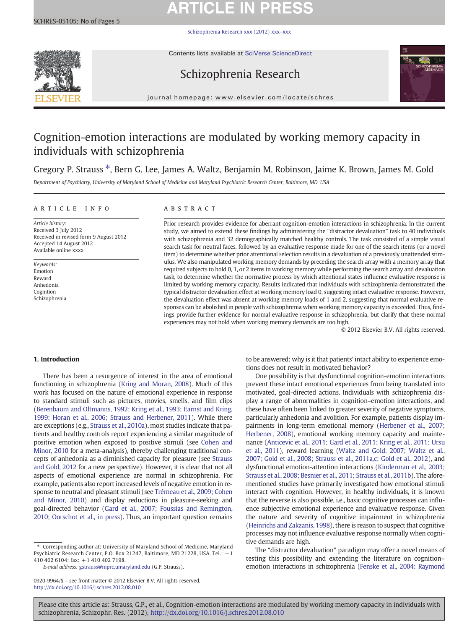# **ARTICLE IN PRESS**

[Schizophrenia Research xxx \(2012\) xxx](http://dx.doi.org/10.1016/j.schres.2012.08.010)–xxx



Contents lists available at SciVerse ScienceDirect

# Schizophrenia Research



journal homepage: www.elsevier.com/locate/schres

# Cognition-emotion interactions are modulated by working memory capacity in individuals with schizophrenia

Gregory P. Strauss ⁎, Bern G. Lee, James A. Waltz, Benjamin M. Robinson, Jaime K. Brown, James M. Gold

Department of Psychiatry, University of Maryland School of Medicine and Maryland Psychiatric Research Center, Baltimore, MD, USA

# ARTICLE INFO ABSTRACT

Article history: Received 3 July 2012 Received in revised form 9 August 2012 Accepted 14 August 2012 Available online xxxx

Keywords: Emotion Reward Anhedonia Cognition Schizophrenia

Prior research provides evidence for aberrant cognition-emotion interactions in schizophrenia. In the current study, we aimed to extend these findings by administering the "distractor devaluation" task to 40 individuals with schizophrenia and 32 demographically matched healthy controls. The task consisted of a simple visual search task for neutral faces, followed by an evaluative response made for one of the search items (or a novel item) to determine whether prior attentional selection results in a devaluation of a previously unattended stimulus. We also manipulated working memory demands by preceding the search array with a memory array that required subjects to hold 0, 1, or 2 items in working memory while performing the search array and devaluation task, to determine whether the normative process by which attentional states influence evaluative response is limited by working memory capacity. Results indicated that individuals with schizophrenia demonstrated the typical distractor devaluation effect at working memory load 0, suggesting intact evaluative response. However, the devaluation effect was absent at working memory loads of 1 and 2, suggesting that normal evaluative responses can be abolished in people with schizophrenia when working memory capacity is exceeded. Thus, findings provide further evidence for normal evaluative response in schizophrenia, but clarify that these normal experiences may not hold when working memory demands are too high.

© 2012 Elsevier B.V. All rights reserved.

## 1. Introduction

There has been a resurgence of interest in the area of emotional functioning in schizophrenia [\(Kring and Moran, 2008](#page-4-0)). Much of this work has focused on the nature of emotional experience in response to standard stimuli such as pictures, movies, smells, and film clips [\(Berenbaum and Oltmanns, 1992; Kring et al., 1993; Earnst and Kring,](#page-4-0) [1999; Horan et al., 2006; Strauss and Herbener, 2011](#page-4-0)). While there are exceptions (e.g., [Strauss et al., 2010a\)](#page-4-0), most studies indicate that patients and healthy controls report experiencing a similar magnitude of positive emotion when exposed to positive stimuli (see [Cohen and](#page-4-0) [Minor, 2010](#page-4-0) for a meta-analysis), thereby challenging traditional concepts of anhedonia as a diminished capacity for pleasure (see [Strauss](#page-4-0) [and Gold, 2012](#page-4-0) for a new perspective). However, it is clear that not all aspects of emotional experience are normal in schizophrenia. For example, patients also report increased levels of negative emotion in response to neutral and pleasant stimuli (see [Trémeau et al., 2009; Cohen](#page-4-0) [and Minor, 2010](#page-4-0)) and display reductions in pleasure-seeking and goal-directed behavior [\(Gard et al., 2007; Foussias and Remington,](#page-4-0) [2010; Oorschot et al., in press](#page-4-0)). Thus, an important question remains

⁎ Corresponding author at: University of Maryland School of Medicine, Maryland Psychiatric Research Center, P.O. Box 21247, Baltimore, MD 21228, USA. Tel.: +1 410 402 6104; fax: +1 410 402 7198.

E-mail address: [gstrauss@mprc.umaryland.edu](mailto:gstrauss@mprc.umaryland.edu) (G.P. Strauss).

to be answered: why is it that patients' intact ability to experience emotions does not result in motivated behavior?

One possibility is that dysfunctional cognition-emotion interactions prevent these intact emotional experiences from being translated into motivated, goal-directed actions. Individuals with schizophrenia display a range of abnormalities in cognition–emotion interactions, and these have often been linked to greater severity of negative symptoms, particularly anhedonia and avolition. For example, patients display impairments in long-term emotional memory [\(Herbener et al., 2007;](#page-4-0) [Herbener, 2008](#page-4-0)), emotional working memory capacity and maintenance [\(Anticevic et al., 2011; Gard et al., 2011; Kring et al., 2011; Ursu](#page-4-0) [et al., 2011\)](#page-4-0), reward learning ([Waltz and Gold, 2007; Waltz et al.,](#page-4-0) [2007; Gold et al., 2008; Strauss et al., 2011a,c; Gold et al., 2012](#page-4-0)), and dysfunctional emotion-attention interactions [\(Kinderman et al., 2003;](#page-4-0) [Strauss et al., 2008; Besnier et al., 2011; Strauss et al., 2011b\)](#page-4-0). The aforementioned studies have primarily investigated how emotional stimuli interact with cognition. However, in healthy individuals, it is known that the reverse is also possible, i.e., basic cognitive processes can influence subjective emotional experience and evaluative response. Given the nature and severity of cognitive impairment in schizophrenia [\(Heinrichs and Zakzanis, 1998](#page-4-0)), there is reason to suspect that cognitive processes may not influence evaluative response normally when cognitive demands are high.

The "distractor devaluation" paradigm may offer a novel means of testing this possibility and extending the literature on cognition– emotion interactions in schizophrenia ([Fenske et al., 2004; Raymond](#page-4-0)

<sup>0920-9964/\$</sup> – see front matter © 2012 Elsevier B.V. All rights reserved. <http://dx.doi.org/10.1016/j.schres.2012.08.010>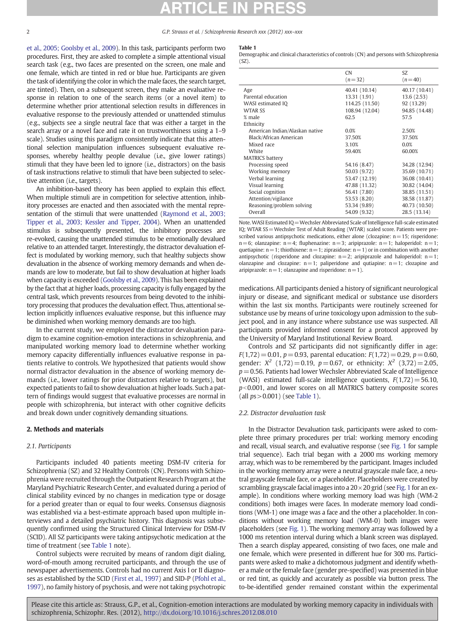2 G.P. Strauss et al. / Schizophrenia Research xxx (2012) xxx–xxx

[et al., 2005; Goolsby et al., 2009](#page-4-0)). In this task, participants perform two procedures. First, they are asked to complete a simple attentional visual search task (e.g., two faces are presented on the screen, one male and one female, which are tinted in red or blue hue. Participants are given the task of identifying the color in which the male faces, the search target, are tinted). Then, on a subsequent screen, they make an evaluative response in relation to one of the search items (or a novel item) to determine whether prior attentional selection results in differences in evaluative response to the previously attended or unattended stimulus (e.g., subjects see a single neutral face that was either a target in the search array or a novel face and rate it on trustworthiness using a 1–9 scale). Studies using this paradigm consistently indicate that this attentional selection manipulation influences subsequent evaluative responses, whereby healthy people devalue (i.e., give lower ratings) stimuli that they have been led to ignore (i.e., distractors) on the basis of task instructions relative to stimuli that have been subjected to selective attention (i.e., targets).

An inhibition-based theory has been applied to explain this effect. When multiple stimuli are in competition for selective attention, inhibitory processes are enacted and then associated with the mental representation of the stimuli that were unattended ([Raymond et al., 2003;](#page-4-0) [Tipper et al., 2003; Kessler and Tipper, 2004](#page-4-0)). When an unattended stimulus is subsequently presented, the inhibitory processes are re-evoked, causing the unattended stimulus to be emotionally devalued relative to an attended target. Interestingly, the distractor devaluation effect is modulated by working memory, such that healthy subjects show devaluation in the absence of working memory demands and when demands are low to moderate, but fail to show devaluation at higher loads when capacity is exceeded [\(Goolsby et al., 2009](#page-4-0)). This has been explained by the fact that at higher loads, processing capacity is fully engaged by the central task, which prevents resources from being devoted to the inhibitory processing that produces the devaluation effect. Thus, attentional selection implicitly influences evaluative response, but this influence may be diminished when working memory demands are too high.

In the current study, we employed the distractor devaluation paradigm to examine cognition-emotion interactions in schizophrenia, and manipulated working memory load to determine whether working memory capacity differentially influences evaluative response in patients relative to controls. We hypothesized that patients would show normal distractor devaluation in the absence of working memory demands (i.e., lower ratings for prior distractors relative to targets), but expected patients to fail to show devaluation at higher loads. Such a pattern of findings would suggest that evaluative processes are normal in people with schizophrenia, but interact with other cognitive deficits and break down under cognitively demanding situations.

### 2. Methods and materials

## 2.1. Participants

Participants included 40 patients meeting DSM-IV criteria for Schizophrenia (SZ) and 32 Healthy Controls (CN). Persons with Schizophrenia were recruited through the Outpatient Research Program at the Maryland Psychiatric Research Center, and evaluated during a period of clinical stability evinced by no changes in medication type or dosage for a period greater than or equal to four weeks. Consensus diagnosis was established via a best-estimate approach based upon multiple interviews and a detailed psychiatric history. This diagnosis was subsequently confirmed using the Structured Clinical Interview for DSM-IV (SCID). All SZ participants were taking antipsychotic medication at the time of treatment (see Table 1 note).

Control subjects were recruited by means of random digit dialing, word-of-mouth among recruited participants, and through the use of newspaper advertisements. Controls had no current Axis I or II diagnoses as established by the SCID [\(First et al., 1997](#page-4-0)) and SID-P [\(Pfohl et al.,](#page-4-0) [1997\)](#page-4-0), no family history of psychosis, and were not taking psychotropic

#### Table 1

Demographic and clinical characteristics of controls (CN) and persons with Schizophrenia (SZ).

|                                 | <b>CN</b><br>$(n=32)$ | SZ<br>$(n=40)$ |
|---------------------------------|-----------------------|----------------|
| Age                             | 40.41 (10.14)         | 40.17 (10.41)  |
| Parental education              | 13.31 (1.91)          | 13.6(2.53)     |
| WASI estimated IQ               | 114.25 (11.50)        | 92 (13.29)     |
| <b>WTAR SS</b>                  | 108.94 (12.04)        | 94.85 (14.48)  |
| $%$ male<br>Ethnicity           | 62.5                  | 57.5           |
| American Indian/Alaskan native  | 0.0%                  | 2.50%          |
| Black/African American          | 37.50%                | 37.50%         |
| Mixed race                      | 3.10%                 | 0.0%           |
| White<br><b>MATRICS</b> battery | 59.40%                | 60.00%         |
| Processing speed                | 54.16 (8.47)          | 34.28 (12.94)  |
| Working memory                  | 50.03 (9.72)          | 35.69 (10.71)  |
| Verbal learning                 | 53.47 (12.19)         | 36.08 (10.41)  |
| Visual learning                 | 47.88 (11.32)         | 30.82 (14.04)  |
| Social cognition                | 56.41 (7.80)          | 38.85 (11.51)  |
| Attention/vigilance             | 53.53 (8.20)          | 38.58 (11.87)  |
| Reasoning/problem solving       | 53.34 (9.89)          | 40.73 (10.50)  |
| Overall                         | 54.09 (9.32)          | 28.5 (13.14)   |

Note. WASI Estimated  $IO = Wechsler Abbreviated Scale of Intelligence full-scale estimated$ IQ; WTAR SS = Wechsler Test of Adult Reading (WTAR) scaled score. Patients were prescribed various antipsychotic medications, either alone (clozapine:  $n=15$ ; risperidone:  $n=6$ ; olanzapine:  $n=4$ ; fluphenazine:  $n=3$ ; aripiprazole:  $n=1$ ; haloperidol:  $n=1$ ; quetiapine:  $n=1$ ; thiothixene:  $n=1$ ; ziprasidone:  $n=1$ ) or in combination with another antipsychotic (risperidone and clozapine:  $n=2$ ; aripiprazole and haloperidol:  $n=1$ ; olanzapine and clozapine:  $n=1$ ; paliperidone and qutiapine:  $n=1$ ; clozapine and aripiprazole:  $n=1$ ; olanzapine and risperidone:  $n=1$ ).

medications. All participants denied a history of significant neurological injury or disease, and significant medical or substance use disorders within the last six months. Participants were routinely screened for substance use by means of urine toxicology upon admission to the subject pool, and in any instance where substance use was suspected. All participants provided informed consent for a protocol approved by the University of Maryland Institutional Review Board.

Controls and SZ participants did not significantly differ in age:  $F(1,72)=0.01$ ,  $p=0.93$ , parental education:  $F(1,72)=0.29$ ,  $p=0.60$ , gender:  $X^2$  (1,72) = 0.19,  $p = 0.67$ , or ethnicity:  $X^2$  (3,72) = 2.05,  $p=0.56$ . Patients had lower Wechsler Abbreviated Scale of Intelligence (WASI) estimated full-scale intelligence quotients,  $F(1,72) = 56.10$ ,  $p$ <0.001, and lower scores on all MATRICS battery composite scores (all  $ps > 0.001$ ) (see Table 1).

## 2.2. Distractor devaluation task

In the Distractor Devaluation task, participants were asked to complete three primary procedures per trial: working memory encoding and recall, visual search, and evaluative response (see [Fig. 1](#page-2-0) for sample trial sequence). Each trial began with a 2000 ms working memory array, which was to be remembered by the participant. Images included in the working memory array were a neutral grayscale male face, a neutral grayscale female face, or a placeholder. Placeholders were created by scrambling grayscale facial images into a  $20 \times 20$  grid (see [Fig. 1](#page-2-0) for an example). In conditions where working memory load was high (WM-2 conditions) both images were faces. In moderate memory load conditions (WM-1) one image was a face and the other a placeholder. In conditions without working memory load (WM-0) both images were placeholders (see [Fig. 1](#page-2-0)). The working memory array was followed by a 1000 ms retention interval during which a blank screen was displayed. Then a search display appeared, consisting of two faces, one male and one female, which were presented in different hue for 300 ms. Participants were asked to make a dichotomous judgment and identify whether a male or the female face (gender pre-specified) was presented in blue or red tint, as quickly and accurately as possible via button press. The to-be-identified gender remained constant within the experimental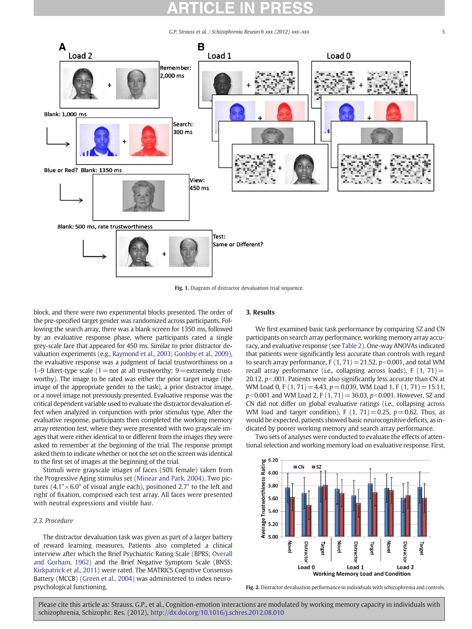G.P. Strauss et al. / Schizophrenia Research xxx (2012) xxx–xxx 3

<span id="page-2-0"></span>

Fig. 1. Diagram of distractor devaluation trial sequence.

block, and there were two experimental blocks presented. The order of the pre-specified target gender was randomized across participants. Following the search array, there was a blank screen for 1350 ms, followed by an evaluative response phase, where participants rated a single grey-scale face that appeared for 450 ms. Similar to prior distractor devaluation experiments (e.g., [Raymond et al., 2003; Goolsby et al., 2009](#page-4-0)), the evaluative response was a judgment of facial trustworthiness on a 1–9 Likert-type scale (1 = not at all trustworthy; 9 = extremely trustworthy). The image to be rated was either the prior target image (the image of the appropriate gender to the task), a prior distractor image, or a novel image not previously presented. Evaluative response was the critical dependent variable used to evaluate the distractor devaluation effect when analyzed in conjunction with prior stimulus type. After the evaluative response, participants then completed the working memory array retention test, where they were presented with two grayscale images that were either identical to or different from the images they were asked to remember at the beginning of the trial. The response prompt asked them to indicate whether or not the set on the screen was identical to the first set of images at the beginning of the trial.

Stimuli were grayscale images of faces (50% female) taken from the Progressive Aging stimulus set ([Minear and Park, 2004](#page-4-0)). Two pictures  $(4.1\degree \times 6.0\degree$  of visual angle each), positioned 2.7° to the left and right of fixation, comprised each test array. All faces were presented with neutral expressions and visible hair.

# 2.3. Procedure

The distractor devaluation task was given as part of a larger battery of reward learning measures. Patients also completed a clinical interview after which the Brief Psychiatric Rating Scale (BPRS; [Overall](#page-4-0) [and Gorham, 1962](#page-4-0)) and the Brief Negative Symptom Scale (BNSS; [Kirkpatrick et al., 2011\)](#page-4-0) were rated. The MATRICS Cognitive Consensus Battery (MCCB) [\(Green et al., 2004\)](#page-4-0) was administered to index neuropsychological functioning.

# 3. Results

We first examined basic task performance by comparing SZ and CN participants on search array performance, working memory array accuracy, and evaluative response (see [Table 2](#page-3-0)). One-way ANOVAs indicated that patients were significantly less accurate than controls with regard to search array performance, F  $(1, 71) = 21.52$ ,  $p < 0.001$ , and total WM recall array performance (i.e., collapsing across loads), F  $(1, 71)$  = 20.12,  $p<$  001. Patients were also significantly less accurate than CN at WM Load 0, F  $(1, 71) = 4.43$ ,  $p = 0.039$ , WM Load 1, F  $(1, 71) = 15.11$ ,  $p<0.001$  and WM Load 2, F (1, 71) = 36.03,  $p<0.001$ . However, SZ and CN did not differ on global evaluative ratings (i.e., collapsing across WM load and target condition), F  $(1, 71) = 0.25$ ,  $p = 0.62$ . Thus, as would be expected, patients showed basic neurocognitive deficits, as indicated by poorer working memory and search array performance.

Two sets of analyses were conducted to evaluate the effects of attentional selection and working memory load on evaluative response. First,



Fig. 2. Distractor devaluation performance in individuals with schizophrenia and controls.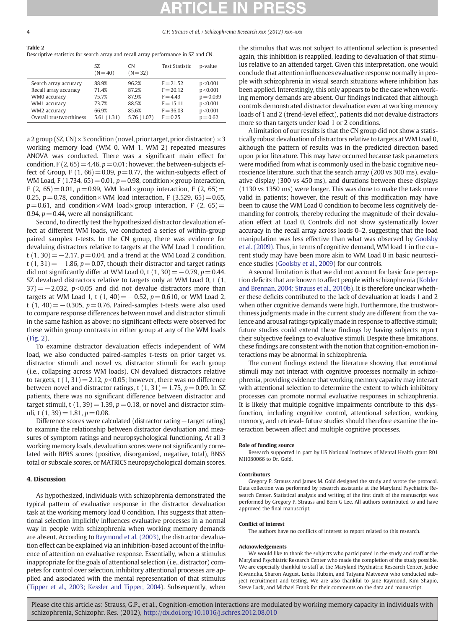<span id="page-3-0"></span>Table 2 Descriptive statistics for search array and recall array performance in SZ and CN.

|                                                                                                                           | SZ.<br>$(N = 40)$                                       | <b>CN</b><br>$(N = 32)$                                  | <b>Test Statistic</b>                                                                | p-value                                                                       |
|---------------------------------------------------------------------------------------------------------------------------|---------------------------------------------------------|----------------------------------------------------------|--------------------------------------------------------------------------------------|-------------------------------------------------------------------------------|
| Search array accuracy<br>Recall array accuracy<br>WM0 accuracy<br>WM1 accuracy<br>WM2 accuracy<br>Overall trustworthiness | 88.9%<br>71.4%<br>75.7%<br>73.7%<br>66.9%<br>5.61(1.31) | 96.2%<br>87.2%<br>87.9%<br>88.5%<br>85.6%<br>5.76 (1.07) | $F = 21.52$<br>$F = 20.12$<br>$F = 4.43$<br>$F = 15.11$<br>$F = 36.03$<br>$F = 0.25$ | p < 0.001<br>p < 0.001<br>$p = 0.039$<br>p < 0.001<br>p < 0.001<br>$p = 0.62$ |

a 2 group (SZ, CN) $\times$ 3 condition (novel, prior target, prior distractor)  $\times$ 3 working memory load (WM 0, WM 1, WM 2) repeated measures ANOVA was conducted. There was a significant main effect for condition, F  $(2, 65) = 4.46$ ,  $p = 0.01$ ; however, the between-subjects effect of Group, F (1, 66) = 0.09,  $p = 0.77$ , the within-subjects effect of WM Load, F (1.734, 65) = 0.01,  $p=0.98$ , condition  $\times$  group interaction, F (2, 65) = 0.01, p = 0.99, WM load × group interaction, F (2, 65) = 0.25,  $p = 0.78$ , condition × WM load interaction, F (3.529, 65) = 0.65,  $p=0.61$ , and condition×WM load×group interaction, F (2, 65) = 0.94,  $p = 0.44$ , were all nonsignificant.

Second, to directly test the hypothesized distractor devaluation effect at different WM loads, we conducted a series of within-group paired samples t-tests. In the CN group, there was evidence for devaluing distractors relative to targets at the WM Load 1 condition, t (1, 30) = −2.17,  $p = 0.04$ , and a trend at the WM Load 2 condition, t (1, 31) = −1.86,  $p$  = 0.07, though their distractor and target ratings did not significantly differ at WM Load 0, t  $(1, 30) = -0.79$ ,  $p = 0.44$ . SZ devalued distractors relative to targets only at WM Load 0, t (1,  $37)$  = −2.032, p<0.05 and did not devalue distractors more than targets at WM Load 1, t  $(1, 40) = -0.52$ ,  $p = 0.610$ , or WM Load 2, t (1, 40) =  $-0.305$ , p = 0.76. Paired-samples t-tests were also used to compare response differences between novel and distractor stimuli in the same fashion as above; no significant effects were observed for these within group contrasts in either group at any of the WM loads [\(Fig. 2\)](#page-2-0).

To examine distractor devaluation effects independent of WM load, we also conducted paired-samples t-tests on prior target vs. distractor stimuli and novel vs. distractor stimuli for each group (i.e., collapsing across WM loads). CN devalued distractors relative to targets, t  $(1, 31) = 2.12$ ,  $p < 0.05$ ; however, there was no difference between novel and distractor ratings, t  $(1, 31) = 1.75$ ,  $p = 0.09$ . In SZ patients, there was no significant difference between distractor and target stimuli, t  $(1, 39) = 1.39$ ,  $p = 0.18$ , or novel and distractor stimuli, t  $(1, 39) = 1.81$ ,  $p = 0.08$ .

Difference scores were calculated (distractor rating−target rating) to examine the relationship between distractor devaluation and measures of symptom ratings and neuropsychological functioning. At all 3 working memory loads, devaluation scores were not significantly correlated with BPRS scores (positive, disorganized, negative, total), BNSS total or subscale scores, or MATRICS neuropsychological domain scores.

### 4. Discussion

As hypothesized, individuals with schizophrenia demonstrated the typical pattern of evaluative response in the distractor devaluation task at the working memory load 0 condition. This suggests that attentional selection implicitly influences evaluative processes in a normal way in people with schizophrenia when working memory demands are absent. According to [Raymond et al. \(2003\)](#page-4-0), the distractor devaluation effect can be explained via an inhibition-based account of the influence of attention on evaluative response. Essentially, when a stimulus inappropriate for the goals of attentional selection (i.e., distractor) competes for control over selection, inhibitory attentional processes are applied and associated with the mental representation of that stimulus [\(Tipper et al., 2003; Kessler and Tipper, 2004\)](#page-4-0). Subsequently, when the stimulus that was not subject to attentional selection is presented again, this inhibition is reapplied, leading to devaluation of that stimulus relative to an attended target. Given this interpretation, one would conclude that attention influences evaluative response normally in people with schizophrenia in visual search situations where inhibition has been applied. Interestingly, this only appears to be the case when working memory demands are absent. Our findings indicated that although controls demonstrated distractor devaluation even at working memory loads of 1 and 2 (trend-level effect), patients did not devalue distractors more so than targets under load 1 or 2 conditions.

A limitation of our results is that the CN group did not show a statistically robust devaluation of distractors relative to targets atWM Load 0, although the pattern of results was in the predicted direction based upon prior literature. This may have occurred because task parameters were modified from what is commonly used in the basic cognitive neuroscience literature, such that the search array (200 vs 300 ms), evaluative display (300 vs 450 ms), and durations between these displays (1130 vs 1350 ms) were longer. This was done to make the task more valid in patients; however, the result of this modification may have been to cause the WM Load 0 condition to become less cognitively demanding for controls, thereby reducing the magnitude of their devaluation effect at Load 0. Controls did not show systematically lower accuracy in the recall array across loads 0–2, suggesting that the load manipulation was less effective than what was observed by [Goolsby](#page-4-0) [et al. \(2009\).](#page-4-0) Thus, in terms of cognitive demand, WM load 1 in the current study may have been more akin to WM Load 0 in basic neuroscience studies [\(Goolsby et al., 2009](#page-4-0)) for our controls.

A second limitation is that we did not account for basic face perception deficits that are known to affect people with schizophrenia [\(Kohler](#page-4-0) [and Brennan, 2004; Strauss et al., 2010b](#page-4-0)). It is therefore unclear whether these deficits contributed to the lack of devaluation at loads 1 and 2 when other cognitive demands were high. Furthermore, the trustworthiness judgments made in the current study are different from the valence and arousal ratings typically made in response to affective stimuli; future studies could extend these findings by having subjects report their subjective feelings to evaluative stimuli. Despite these limitations, these findings are consistent with the notion that cognition-emotion interactions may be abnormal in schizophrenia.

The current findings extend the literature showing that emotional stimuli may not interact with cognitive processes normally in schizophrenia, providing evidence that working memory capacity may interact with attentional selection to determine the extent to which inhibitory processes can promote normal evaluative responses in schizophrenia. It is likely that multiple cognitive impairments contribute to this dysfunction, including cognitive control, attentional selection, working memory, and retrieval- future studies should therefore examine the interaction between affect and multiple cognitive processes.

### Role of funding source

Research supported in part by US National Institutes of Mental Health grant R01 MH080066 to Dr. Gold.

### Contributors

Gregory P. Strauss and James M. Gold designed the study and wrote the protocol. Data collection was performed by research assistants at the Maryland Psychiatric Research Center. Statistical analysis and writing of the first draft of the manuscript was performed by Gregory P. Strauss and Bern G Lee. All authors contributed to and have approved the final manuscript.

#### Conflict of interest

The authors have no conflicts of interest to report related to this research.

#### Acknowledgements

We would like to thank the subjects who participated in the study and staff at the Maryland Psychiatric Research Center who made the completion of the study possible. We are especially thankful to staff at the Maryland Psychiatric Research Center, Jackie Kiwanuka, Sharon August, Leeka Hubzin, and Tatyana Matveeva who conducted subject recruitment and testing. We are also thankful to Jane Raymond, Kim Shapio, Steve Luck, and Michael Frank for their comments on the data and manuscript.